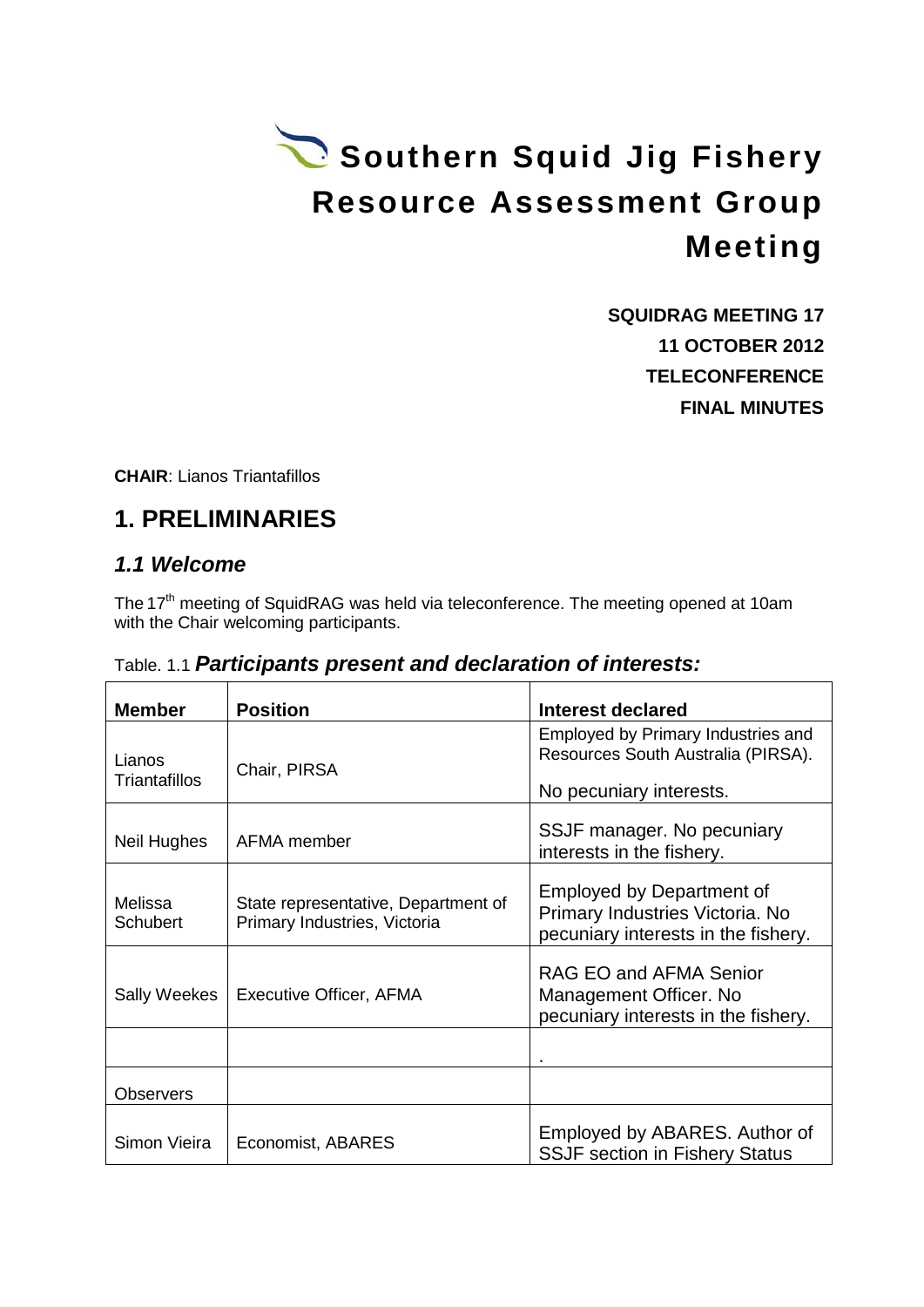# Southern Squid Jig Fishery **Resource Assessment Group Meeting**

**SQUIDRAG MEETING 17 11 OCTOBER 2012 TELECONFERENCE FINAL MINUTES**

**CHAIR**: Lianos Triantafillos

# **1. PRELIMINARIES**

#### *1.1 Welcome*

The 17<sup>th</sup> meeting of SquidRAG was held via teleconference. The meeting opened at 10am with the Chair welcoming participants.

| <b>Member</b>           | <b>Position</b>                                                     | Interest declared                                                                                          |
|-------------------------|---------------------------------------------------------------------|------------------------------------------------------------------------------------------------------------|
| Lianos<br>Triantafillos | Chair, PIRSA                                                        | Employed by Primary Industries and<br>Resources South Australia (PIRSA).<br>No pecuniary interests.        |
| Neil Hughes             | AFMA member                                                         | SSJF manager. No pecuniary<br>interests in the fishery.                                                    |
| Melissa<br>Schubert     | State representative, Department of<br>Primary Industries, Victoria | <b>Employed by Department of</b><br>Primary Industries Victoria. No<br>pecuniary interests in the fishery. |
| Sally Weekes            | Executive Officer, AFMA                                             | RAG EO and AFMA Senior<br>Management Officer. No<br>pecuniary interests in the fishery.                    |
|                         |                                                                     |                                                                                                            |
| <b>Observers</b>        |                                                                     |                                                                                                            |
| Simon Vieira            | Economist, ABARES                                                   | Employed by ABARES. Author of<br><b>SSJF section in Fishery Status</b>                                     |

Table. 1.1 *Participants present and declaration of interests:*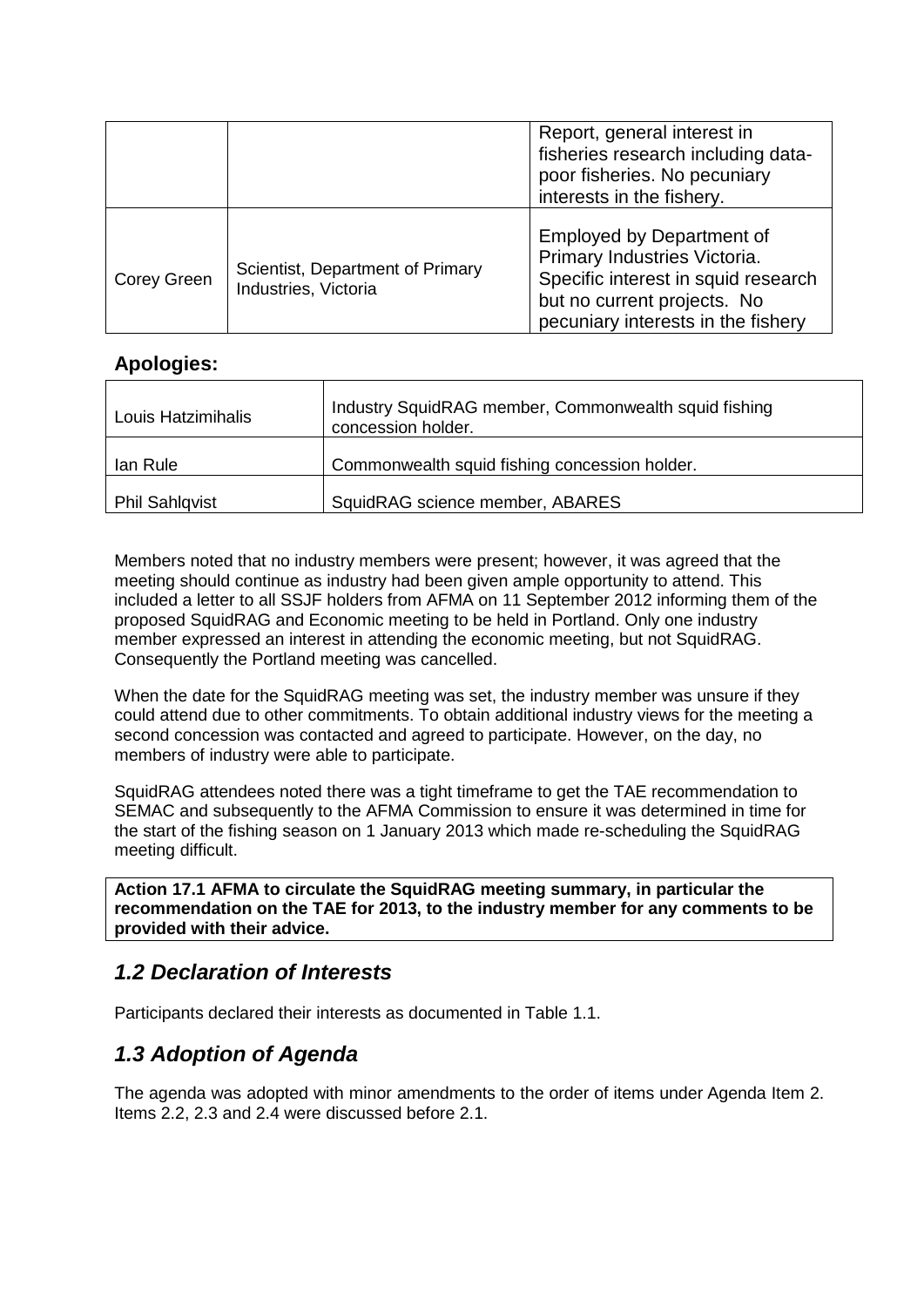|                    |                                                          | Report, general interest in<br>fisheries research including data-<br>poor fisheries. No pecuniary<br>interests in the fishery.                                               |
|--------------------|----------------------------------------------------------|------------------------------------------------------------------------------------------------------------------------------------------------------------------------------|
| <b>Corey Green</b> | Scientist, Department of Primary<br>Industries, Victoria | <b>Employed by Department of</b><br>Primary Industries Victoria.<br>Specific interest in squid research<br>but no current projects. No<br>pecuniary interests in the fishery |

#### **Apologies:**

| Louis Hatzimihalis    | Industry SquidRAG member, Commonwealth squid fishing<br>concession holder. |
|-----------------------|----------------------------------------------------------------------------|
| lan Rule              | Commonwealth squid fishing concession holder.                              |
| <b>Phil Sahlgvist</b> | SquidRAG science member, ABARES                                            |

Members noted that no industry members were present; however, it was agreed that the meeting should continue as industry had been given ample opportunity to attend. This included a letter to all SSJF holders from AFMA on 11 September 2012 informing them of the proposed SquidRAG and Economic meeting to be held in Portland. Only one industry member expressed an interest in attending the economic meeting, but not SquidRAG. Consequently the Portland meeting was cancelled.

When the date for the SquidRAG meeting was set, the industry member was unsure if they could attend due to other commitments. To obtain additional industry views for the meeting a second concession was contacted and agreed to participate. However, on the day, no members of industry were able to participate.

SquidRAG attendees noted there was a tight timeframe to get the TAE recommendation to SEMAC and subsequently to the AFMA Commission to ensure it was determined in time for the start of the fishing season on 1 January 2013 which made re-scheduling the SquidRAG meeting difficult.

**Action 17.1 AFMA to circulate the SquidRAG meeting summary, in particular the recommendation on the TAE for 2013, to the industry member for any comments to be provided with their advice.**

## *1.2 Declaration of Interests*

Participants declared their interests as documented in Table 1.1.

## *1.3 Adoption of Agenda*

The agenda was adopted with minor amendments to the order of items under Agenda Item 2. Items 2.2, 2.3 and 2.4 were discussed before 2.1.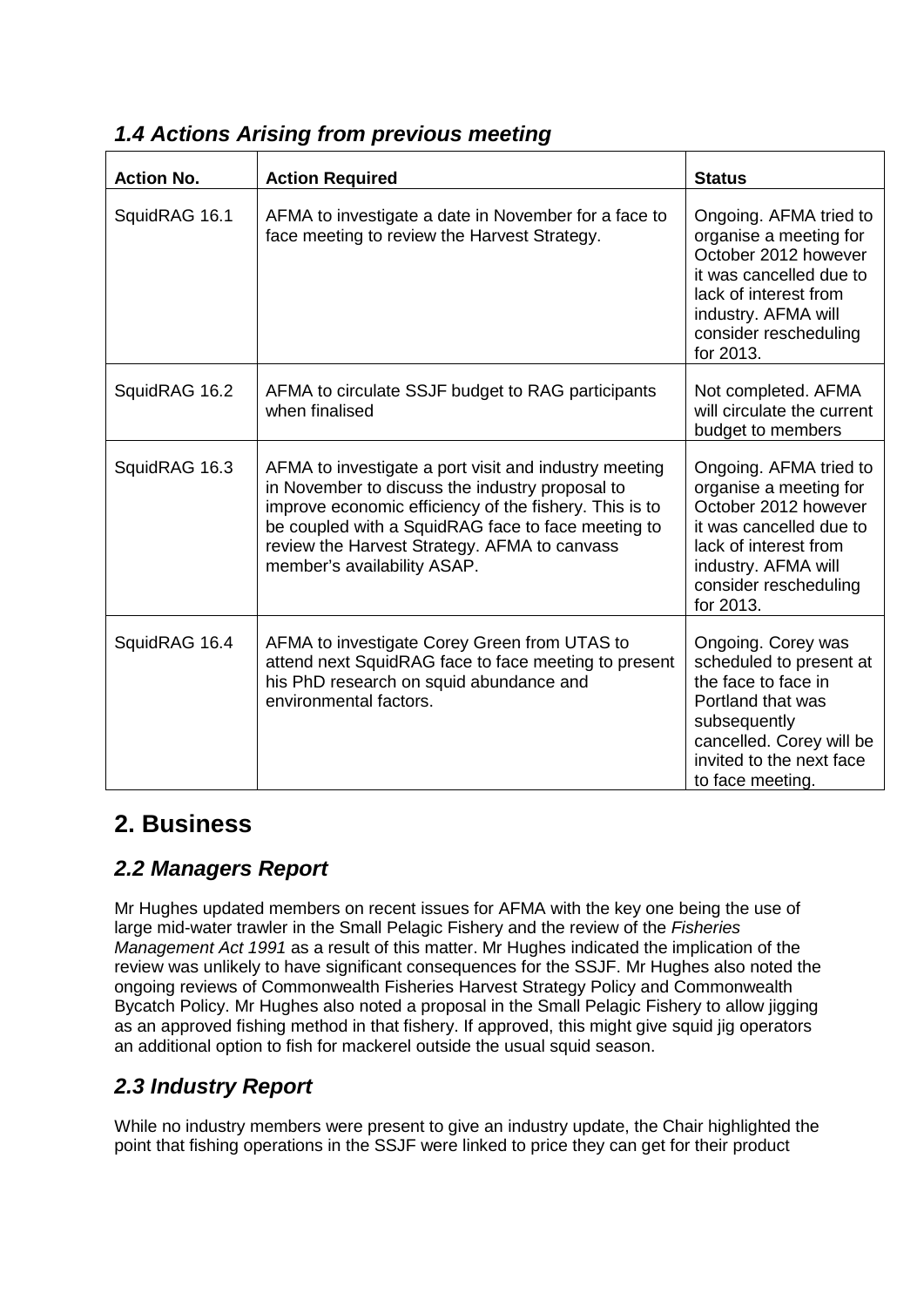| <b>Action No.</b> | <b>Action Required</b>                                                                                                                                                                                                                                                                                  | <b>Status</b>                                                                                                                                                                             |
|-------------------|---------------------------------------------------------------------------------------------------------------------------------------------------------------------------------------------------------------------------------------------------------------------------------------------------------|-------------------------------------------------------------------------------------------------------------------------------------------------------------------------------------------|
| SquidRAG 16.1     | AFMA to investigate a date in November for a face to<br>face meeting to review the Harvest Strategy.                                                                                                                                                                                                    | Ongoing. AFMA tried to<br>organise a meeting for<br>October 2012 however<br>it was cancelled due to<br>lack of interest from<br>industry. AFMA will<br>consider rescheduling<br>for 2013. |
| SquidRAG 16.2     | AFMA to circulate SSJF budget to RAG participants<br>when finalised                                                                                                                                                                                                                                     | Not completed. AFMA<br>will circulate the current<br>budget to members                                                                                                                    |
| SquidRAG 16.3     | AFMA to investigate a port visit and industry meeting<br>in November to discuss the industry proposal to<br>improve economic efficiency of the fishery. This is to<br>be coupled with a SquidRAG face to face meeting to<br>review the Harvest Strategy. AFMA to canvass<br>member's availability ASAP. | Ongoing. AFMA tried to<br>organise a meeting for<br>October 2012 however<br>it was cancelled due to<br>lack of interest from<br>industry. AFMA will<br>consider rescheduling<br>for 2013. |
| SquidRAG 16.4     | AFMA to investigate Corey Green from UTAS to<br>attend next SquidRAG face to face meeting to present<br>his PhD research on squid abundance and<br>environmental factors.                                                                                                                               | Ongoing. Corey was<br>scheduled to present at<br>the face to face in<br>Portland that was<br>subsequently<br>cancelled. Corey will be<br>invited to the next face<br>to face meeting.     |

#### *1.4 Actions Arising from previous meeting*

# **2. Business**

## *2.2 Managers Report*

Mr Hughes updated members on recent issues for AFMA with the key one being the use of large mid-water trawler in the Small Pelagic Fishery and the review of the *Fisheries Management Act 1991* as a result of this matter. Mr Hughes indicated the implication of the review was unlikely to have significant consequences for the SSJF. Mr Hughes also noted the ongoing reviews of Commonwealth Fisheries Harvest Strategy Policy and Commonwealth Bycatch Policy. Mr Hughes also noted a proposal in the Small Pelagic Fishery to allow jigging as an approved fishing method in that fishery. If approved, this might give squid jig operators an additional option to fish for mackerel outside the usual squid season.

# *2.3 Industry Report*

While no industry members were present to give an industry update, the Chair highlighted the point that fishing operations in the SSJF were linked to price they can get for their product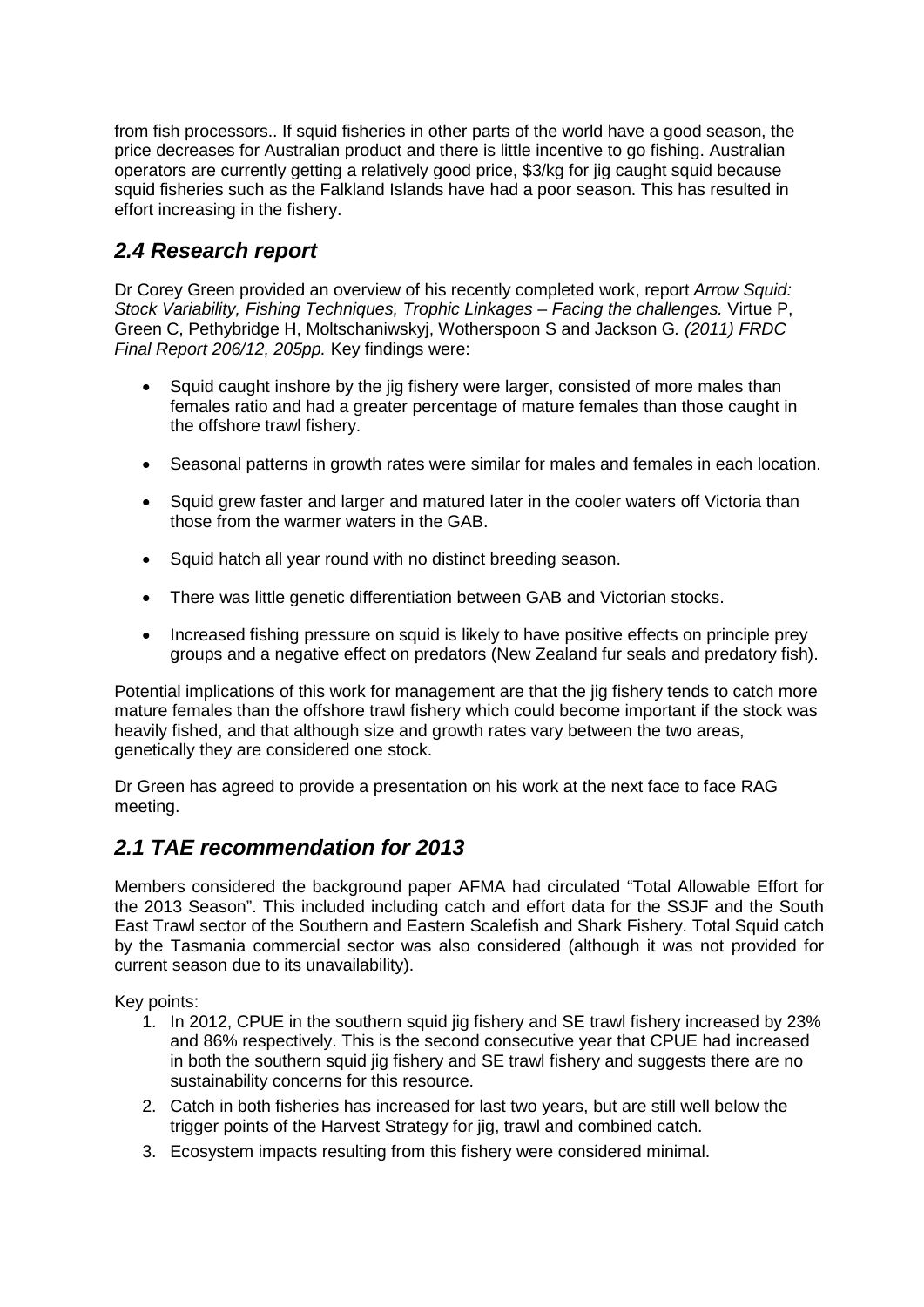from fish processors.. If squid fisheries in other parts of the world have a good season, the price decreases for Australian product and there is little incentive to go fishing. Australian operators are currently getting a relatively good price, \$3/kg for jig caught squid because squid fisheries such as the Falkland Islands have had a poor season. This has resulted in effort increasing in the fishery.

#### *2.4 Research report*

Dr Corey Green provided an overview of his recently completed work, report *Arrow Squid: Stock Variability, Fishing Techniques, Trophic Linkages – Facing the challenges.* Virtue P, Green C, Pethybridge H, Moltschaniwskyj, Wotherspoon S and Jackson G*. (2011) FRDC Final Report 206/12, 205pp.* Key findings were:

- Squid caught inshore by the jig fishery were larger, consisted of more males than females ratio and had a greater percentage of mature females than those caught in the offshore trawl fishery.
- Seasonal patterns in growth rates were similar for males and females in each location.
- Squid grew faster and larger and matured later in the cooler waters off Victoria than those from the warmer waters in the GAB.
- Squid hatch all year round with no distinct breeding season.
- There was little genetic differentiation between GAB and Victorian stocks.
- Increased fishing pressure on squid is likely to have positive effects on principle prey groups and a negative effect on predators (New Zealand fur seals and predatory fish).

Potential implications of this work for management are that the jig fishery tends to catch more mature females than the offshore trawl fishery which could become important if the stock was heavily fished, and that although size and growth rates vary between the two areas, genetically they are considered one stock.

Dr Green has agreed to provide a presentation on his work at the next face to face RAG meeting.

#### *2.1 TAE recommendation for 2013*

Members considered the background paper AFMA had circulated "Total Allowable Effort for the 2013 Season". This included including catch and effort data for the SSJF and the South East Trawl sector of the Southern and Eastern Scalefish and Shark Fishery. Total Squid catch by the Tasmania commercial sector was also considered (although it was not provided for current season due to its unavailability).

Key points:

- 1. In 2012, CPUE in the southern squid jig fishery and SE trawl fishery increased by 23% and 86% respectively. This is the second consecutive year that CPUE had increased in both the southern squid jig fishery and SE trawl fishery and suggests there are no sustainability concerns for this resource.
- 2. Catch in both fisheries has increased for last two years, but are still well below the trigger points of the Harvest Strategy for jig, trawl and combined catch.
- 3. Ecosystem impacts resulting from this fishery were considered minimal.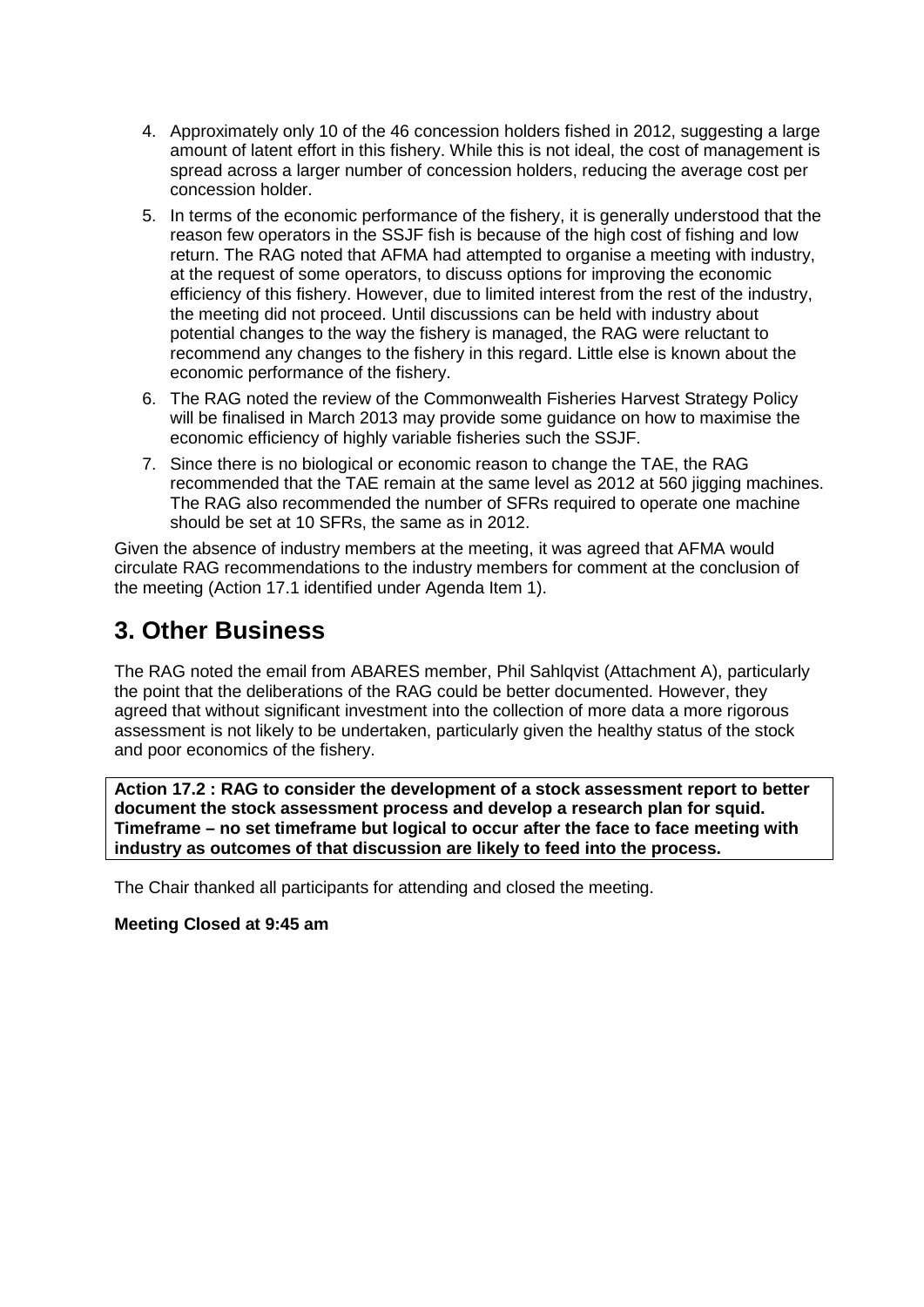- 4. Approximately only 10 of the 46 concession holders fished in 2012, suggesting a large amount of latent effort in this fishery. While this is not ideal, the cost of management is spread across a larger number of concession holders, reducing the average cost per concession holder.
- 5. In terms of the economic performance of the fishery, it is generally understood that the reason few operators in the SSJF fish is because of the high cost of fishing and low return. The RAG noted that AFMA had attempted to organise a meeting with industry, at the request of some operators, to discuss options for improving the economic efficiency of this fishery. However, due to limited interest from the rest of the industry, the meeting did not proceed. Until discussions can be held with industry about potential changes to the way the fishery is managed, the RAG were reluctant to recommend any changes to the fishery in this regard. Little else is known about the economic performance of the fishery.
- 6. The RAG noted the review of the Commonwealth Fisheries Harvest Strategy Policy will be finalised in March 2013 may provide some guidance on how to maximise the economic efficiency of highly variable fisheries such the SSJF.
- 7. Since there is no biological or economic reason to change the TAE, the RAG recommended that the TAE remain at the same level as 2012 at 560 juaning machines. The RAG also recommended the number of SFRs required to operate one machine should be set at 10 SFRs, the same as in 2012.

Given the absence of industry members at the meeting, it was agreed that AFMA would circulate RAG recommendations to the industry members for comment at the conclusion of the meeting (Action 17.1 identified under Agenda Item 1).

# **3. Other Business**

The RAG noted the email from ABARES member, Phil Sahlqvist (Attachment A), particularly the point that the deliberations of the RAG could be better documented. However, they agreed that without significant investment into the collection of more data a more rigorous assessment is not likely to be undertaken, particularly given the healthy status of the stock and poor economics of the fishery.

**Action 17.2 : RAG to consider the development of a stock assessment report to better document the stock assessment process and develop a research plan for squid. Timeframe – no set timeframe but logical to occur after the face to face meeting with industry as outcomes of that discussion are likely to feed into the process.**

The Chair thanked all participants for attending and closed the meeting.

**Meeting Closed at 9:45 am**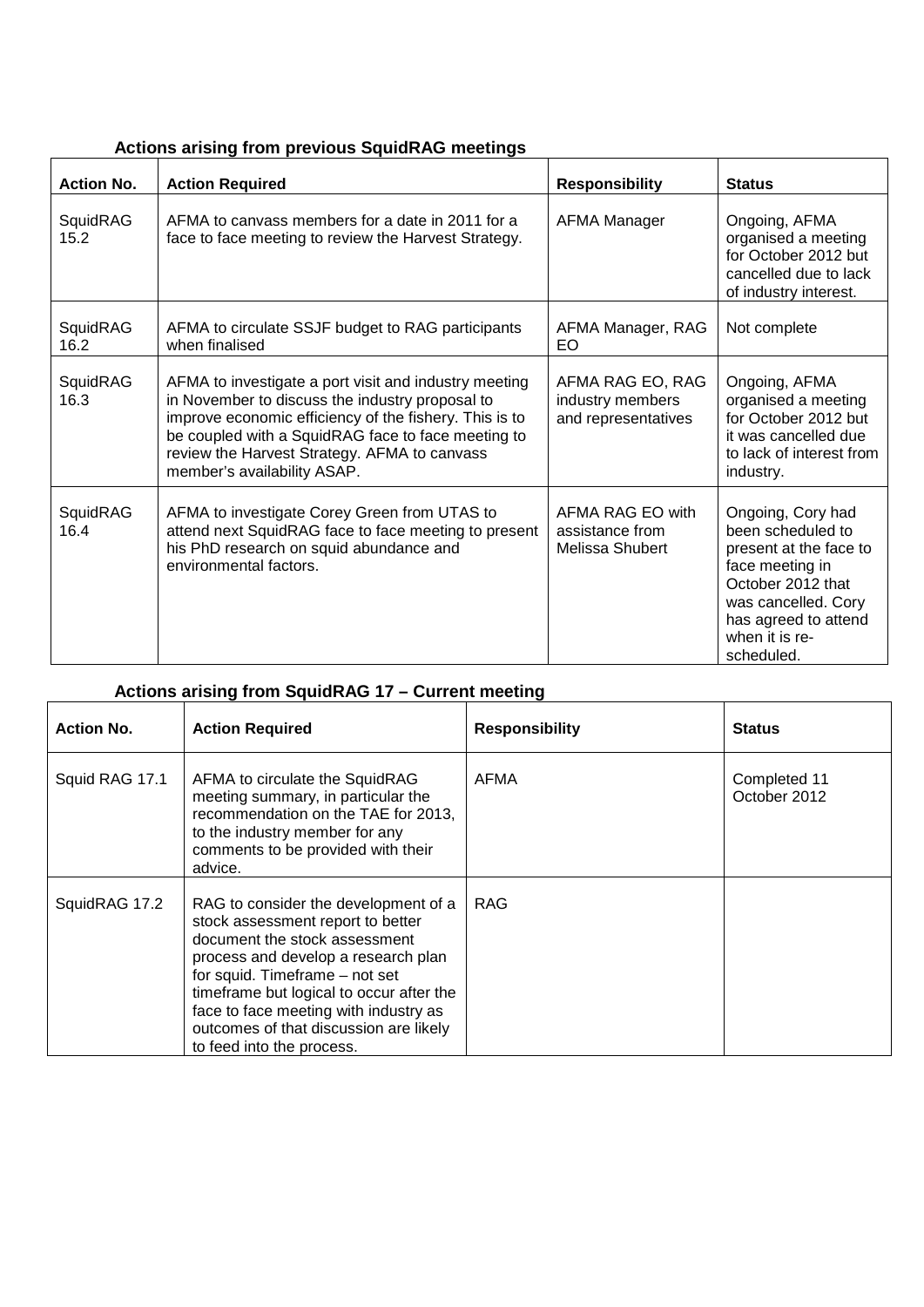| <b>Actions arising from previous SquidRAG meetings</b> |  |  |  |  |
|--------------------------------------------------------|--|--|--|--|
|--------------------------------------------------------|--|--|--|--|

| <b>Action No.</b> | <b>Action Required</b>                                                                                                                                                                                                                                                                                  | <b>Responsibility</b>                                       | <b>Status</b>                                                                                                                                                                           |
|-------------------|---------------------------------------------------------------------------------------------------------------------------------------------------------------------------------------------------------------------------------------------------------------------------------------------------------|-------------------------------------------------------------|-----------------------------------------------------------------------------------------------------------------------------------------------------------------------------------------|
| SquidRAG<br>15.2  | AFMA to canvass members for a date in 2011 for a<br>face to face meeting to review the Harvest Strategy.                                                                                                                                                                                                | <b>AFMA Manager</b>                                         | Ongoing, AFMA<br>organised a meeting<br>for October 2012 but<br>cancelled due to lack<br>of industry interest.                                                                          |
| SquidRAG<br>16.2  | AFMA to circulate SSJF budget to RAG participants<br>when finalised                                                                                                                                                                                                                                     | AFMA Manager, RAG<br>EO                                     | Not complete                                                                                                                                                                            |
| SquidRAG<br>16.3  | AFMA to investigate a port visit and industry meeting<br>in November to discuss the industry proposal to<br>improve economic efficiency of the fishery. This is to<br>be coupled with a SquidRAG face to face meeting to<br>review the Harvest Strategy. AFMA to canvass<br>member's availability ASAP. | AFMA RAG EO, RAG<br>industry members<br>and representatives | Ongoing, AFMA<br>organised a meeting<br>for October 2012 but<br>it was cancelled due<br>to lack of interest from<br>industry.                                                           |
| SquidRAG<br>16.4  | AFMA to investigate Corey Green from UTAS to<br>attend next SquidRAG face to face meeting to present<br>his PhD research on squid abundance and<br>environmental factors.                                                                                                                               | AFMA RAG EO with<br>assistance from<br>Melissa Shubert      | Ongoing, Cory had<br>been scheduled to<br>present at the face to<br>face meeting in<br>October 2012 that<br>was cancelled. Cory<br>has agreed to attend<br>when it is re-<br>scheduled. |

# **Actions arising from SquidRAG 17 – Current meeting**

| <b>Action No.</b> | <b>Action Required</b>                                                                                                                                                                                                                                                                                                                          | <b>Responsibility</b> | <b>Status</b>                |
|-------------------|-------------------------------------------------------------------------------------------------------------------------------------------------------------------------------------------------------------------------------------------------------------------------------------------------------------------------------------------------|-----------------------|------------------------------|
| Squid RAG 17.1    | AFMA to circulate the SquidRAG<br>meeting summary, in particular the<br>recommendation on the TAE for 2013,<br>to the industry member for any<br>comments to be provided with their<br>advice.                                                                                                                                                  | AFMA                  | Completed 11<br>October 2012 |
| SquidRAG 17.2     | RAG to consider the development of a<br>stock assessment report to better<br>document the stock assessment<br>process and develop a research plan<br>for squid. Timeframe - not set<br>timeframe but logical to occur after the<br>face to face meeting with industry as<br>outcomes of that discussion are likely<br>to feed into the process. | RAG                   |                              |